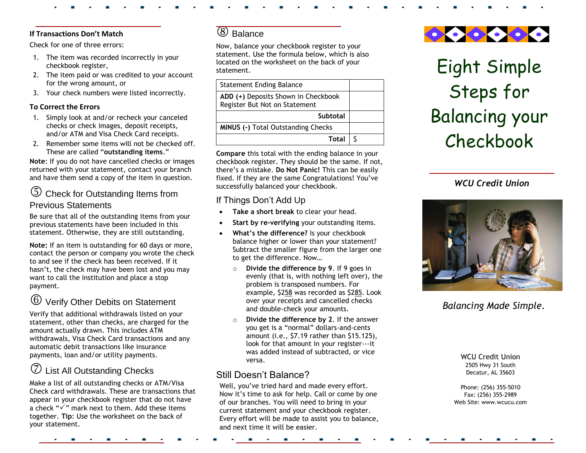#### **If Transactions Don't Match**

Check for one of three errors:

- 1. The item was recorded incorrectly in your checkbook register,
- 2. The item paid or was credited to your account for the wrong amount, or
- 3. Your check numbers were listed incorrectly.

#### **To Correct the Errors**

- 1. Simply look at and/or recheck your canceled checks or check images, deposit receipts, and/or ATM and Visa Check Card receipts.
- 2. Remember some items will not be checked off. These are called "**outstanding items**."

**Note**: If you do not have cancelled checks or images returned with your statement, contact your branch and have them send a copy of the item in question.

#### Check for Outstanding Items from Previous Statements

Be sure that all of the outstanding items from your previous statements have been included in this statement. Otherwise, they are still outstanding.

**Note:** If an item is outstanding for 60 days or more, contact the person or company you wrote the check to and see if the check has been received. If it hasn't, the check may have been lost and you may want to call the institution and place a stop payment.

### Verify Other Debits on Statement

Verify that additional withdrawals listed on your statement, other than checks, are charged for the amount actually drawn. This includes ATM withdrawals, Visa Check Card transactions and any automatic debit transactions like insurance payments, loan and/or utility payments.

### List All Outstanding Checks

Make a list of all outstanding checks or ATM/Visa Check card withdrawals. These are transactions that appear in your checkbook register that do not have a check " $\checkmark$ " mark next to them. Add these items together. **Tip**: Use the worksheet on the back of your statement.

**COL** 

### **8** Balance

Now, balance your checkbook register to your statement. Use the formula below, which is also located on the worksheet on the back of your statement.

| <b>Statement Ending Balance</b>                                      |  |
|----------------------------------------------------------------------|--|
| ADD (+) Deposits Shown in Checkbook<br>Register But Not on Statement |  |
| Subtotal                                                             |  |
| <b>MINUS (-) Total Outstanding Checks</b>                            |  |
| Total                                                                |  |

**Compare** this total with the ending balance in your checkbook register. They should be the same. If not, there's a mistake. **Do Not Panic!** This can be easily fixed. If they are the same Congratulations! You've successfully balanced your checkbook.

#### If Things Don't Add Up

- **Take a short break** to clear your head.
- **Start by re-verifying** your outstanding items.
- **What's the difference?** Is your checkbook balance higher or lower than your statement? Subtract the smaller figure from the larger one to get the difference. Now…
	- o **Divide the difference by 9**. If 9 goes in evenly (that is, with nothing left over), the problem is transposed numbers. For example, \$258 was recorded as \$285. Look over your receipts and cancelled checks and double-check your amounts.
	- o **Divide the difference by 2**. If the answer you get is a "normal" dollars-and-cents amount (i.e., \$7.19 rather than \$15.125), look for that amount in your register---it was added instead of subtracted, or vice versa.

### Still Doesn't Balance?

Well, you've tried hard and made every effort. Now it's time to ask for help. Call or come by one of our branches. You will need to bring in your current statement and your checkbook register. Every effort will be made to assist you to balance, and next time it will be easier.

## $\bullet \bullet \bullet \bullet \bullet \bullet$

# Eight Simple Steps for Balancing your Checkbook

#### *WCU Credit Union*



*Balancing Made Simple.*

WCU Credit Union 2505 Hwy 31 South Decatur, AL 35603

Phone: (256) 355-5010 Fax: (256) 355-2989 Web Site: www.wcucu.com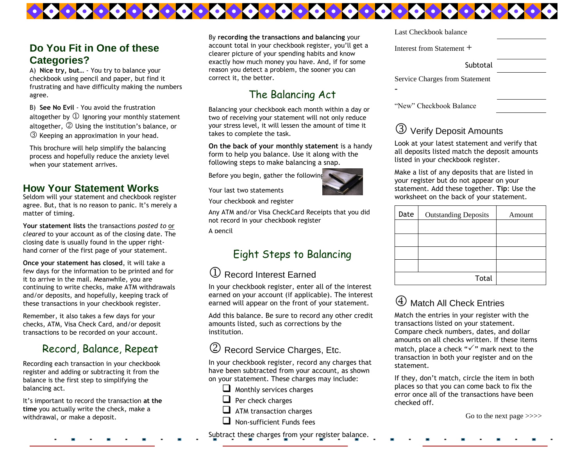

### **Do You Fit in One of these Categories?**

A) **Nice try, but…** - You try to balance your checkbook using pencil and paper, but find it frustrating and have difficulty making the numbers agree.

B) **See No Evil** - You avoid the frustration altogether by  $\mathbb D$  Ignoring your monthly statement altogether, <sup>2</sup> Using the institution's balance, or Keeping an approximation in your head.

This brochure will help simplify the balancing process and hopefully reduce the anxiety level when your statement arrives.

### **How Your Statement Works**

Seldom will your statement and checkbook register agree. But, that is no reason to panic. It's merely a matter of timing.

**Your statement lists** the transactions *posted to* or *cleared* to your account as of the closing date. The closing date is usually found in the upper righthand corner of the first page of your statement.

**Once your statement has closed**, it will take a few days for the information to be printed and for it to arrive in the mail. Meanwhile, you are continuing to write checks, make ATM withdrawals and/or deposits, and hopefully, keeping track of these transactions in your checkbook register.

Remember, it also takes a few days for your checks, ATM, Visa Check Card, and/or deposit transactions to be recorded on your account.

### Record, Balance, Repeat

Recording each transaction in your checkbook register and adding or subtracting it from the balance is the first step to simplifying the balancing act.

It's important to record the transaction **at the time** you actually write the check, make a withdrawal, or make a deposit.

By **recording the transactions and balancing** your account total in your checkbook register, you'll get a clearer picture of your spending habits and know exactly how much money you have. And, if for some reason you detect a problem, the sooner you can correct it, the better.

### The Balancing Act

Balancing your checkbook each month within a day or two of receiving your statement will not only reduce your stress level, it will lessen the amount of time it takes to complete the task.

**On the back of your monthly statement** is a handy form to help you balance. Use it along with the following steps to make balancing a snap.

Before you begin, gather the following



Your last two statements

Your checkbook and register

 Any ATM and/or Visa CheckCard Receipts that you did not record in your checkbook register

A pencil

### Eight Steps to Balancing

### Record Interest Earned

In your checkbook register, enter all of the interest earned on your account (if applicable). The interest earned will appear on the front of your statement.

Add this balance. Be sure to record any other credit amounts listed, such as corrections by the institution.

### Record Service Charges, Etc.

In your checkbook register, record any charges that have been subtracted from your account, as shown on your statement. These charges may include:

- $\Box$  Monthly services charges
- $\Box$  Per check charges
- $\Box$  ATM transaction charges
- $\Box$  Non-sufficient Funds fees

Subtract these charges from your register balance.

Last Checkbook balance

Interest from Statement  $+$ 

Subtotal

Service Charges from Statement

"New" Checkbook Balance

**-**

### Verify Deposit Amounts

Look at your latest statement and verify that all deposits listed match the deposit amounts listed in your checkbook register.

Make a list of any deposits that are listed in your register but do not appear on your statement. Add these together. **Tip**: Use the worksheet on the back of your statement.

| Date | <b>Outstanding Deposits</b> | Amount |
|------|-----------------------------|--------|
|      |                             |        |
|      |                             |        |
|      |                             |        |
|      |                             |        |
|      | Total                       |        |

### Match All Check Entries

Match the entries in your register with the transactions listed on your statement. Compare check numbers, dates, and dollar amounts on all checks written. If these items match, place a check " $\checkmark$ " mark next to the transaction in both your register and on the statement.

If they, don't match, circle the item in both places so that you can come back to fix the error once all of the transactions have been checked off.

Go to the next page >>>>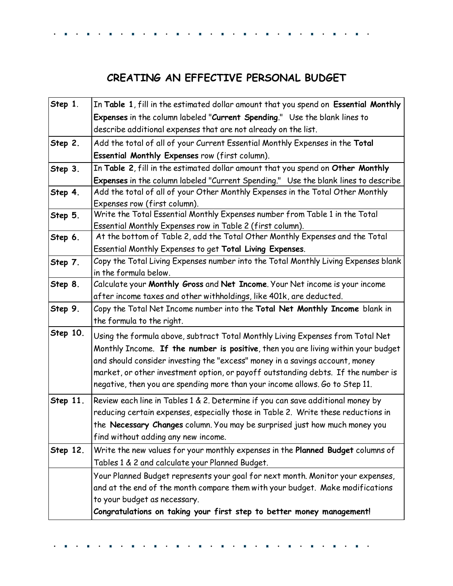$\mathbf{r}$ **A** . . . .

### **CREATING AN EFFECTIVE PERSONAL BUDGET**

| Step 1.  | In Table 1, fill in the estimated dollar amount that you spend on Essential Monthly |
|----------|-------------------------------------------------------------------------------------|
|          | Expenses in the column labeled "Current Spending." Use the blank lines to           |
|          | describe additional expenses that are not already on the list.                      |
| Step 2.  | Add the total of all of your Current Essential Monthly Expenses in the Total        |
|          | Essential Monthly Expenses row (first column).                                      |
| Step 3.  | In Table 2, fill in the estimated dollar amount that you spend on Other Monthly     |
|          | Expenses in the column labeled "Current Spending." Use the blank lines to describe  |
| Step 4.  | Add the total of all of your Other Monthly Expenses in the Total Other Monthly      |
|          | Expenses row (first column).                                                        |
| Step 5.  | Write the Total Essential Monthly Expenses number from Table 1 in the Total         |
|          | Essential Monthly Expenses row in Table 2 (first column).                           |
| Step 6.  | At the bottom of Table 2, add the Total Other Monthly Expenses and the Total        |
|          | Essential Monthly Expenses to get Total Living Expenses.                            |
| Step 7.  | Copy the Total Living Expenses number into the Total Monthly Living Expenses blank  |
|          | in the formula below.                                                               |
| Step 8.  | Calculate your Monthly Gross and Net Income. Your Net income is your income         |
|          | after income taxes and other withholdings, like 401k, are deducted.                 |
| Step 9.  | Copy the Total Net Income number into the Total Net Monthly Income blank in         |
|          | the formula to the right.                                                           |
| Step 10. | Using the formula above, subtract Total Monthly Living Expenses from Total Net      |
|          | Monthly Income. If the number is positive, then you are living within your budget   |
|          | and should consider investing the "excess" money in a savings account, money        |
|          | market, or other investment option, or payoff outstanding debts. If the number is   |
|          | negative, then you are spending more than your income allows. Go to Step 11.        |
| Step 11. | Review each line in Tables 1 & 2. Determine if you can save additional money by     |
|          | reducing certain expenses, especially those in Table 2. Write these reductions in   |
|          | the Necessary Changes column. You may be surprised just how much money you          |
|          | find without adding any new income.                                                 |
| Step 12. | Write the new values for your monthly expenses in the Planned Budget columns of     |
|          | Tables 1 & 2 and calculate your Planned Budget.                                     |
|          | Your Planned Budget represents your goal for next month. Monitor your expenses,     |
|          | and at the end of the month compare them with your budget. Make modifications       |
|          | to your budget as necessary.                                                        |
|          | Congratulations on taking your first step to better money management!               |
|          |                                                                                     |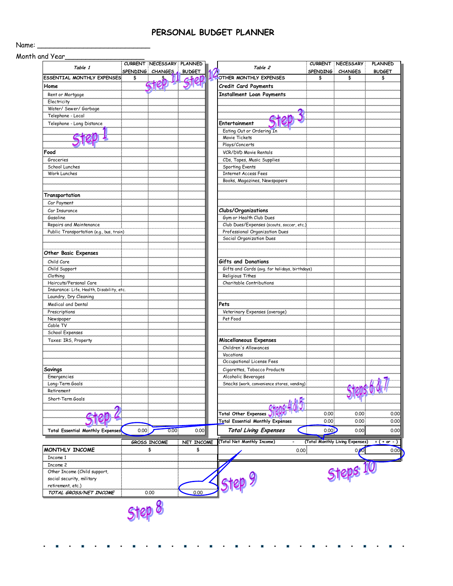#### **PERSONAL BUDGET PLANNER**

#### Name:

| Month and Year_                           |                           |               |                                                |    |
|-------------------------------------------|---------------------------|---------------|------------------------------------------------|----|
| Table 1                                   | CURRENT NECESSARY PLANNED |               | Table 2                                        | с  |
| <b>ESSENTIAL MONTHLY EXPENSES</b>         | \$<br>SPENDING: CHANGES   | <b>BUDGET</b> | OTHER MONTHLY EXPENSES                         | SF |
|                                           |                           |               |                                                |    |
| Home                                      |                           |               | Credit Card Payments                           |    |
| Rent or Mortgage                          |                           |               | <b>Installment Loan Payments</b>               |    |
| Electricity                               |                           |               |                                                |    |
| Water/ Sewer/ Garbage                     |                           |               |                                                |    |
| Telephone - Local                         |                           |               |                                                |    |
| Telephone - Long Distance                 |                           |               | Entertainment                                  |    |
|                                           |                           |               | Eating Out or Ordering In                      |    |
|                                           |                           |               | Movie Tickets                                  |    |
|                                           |                           |               | Plays/Concerts                                 |    |
| Food                                      |                           |               | <b>VCR/DVD Movie Rentals</b>                   |    |
| Groceries                                 |                           |               | CDs, Tapes, Music Supplies                     |    |
| School Lunches                            |                           |               | Sporting Events                                |    |
| Work Lunches                              |                           |               | <b>Internet Access Fees</b>                    |    |
|                                           |                           |               | Books, Magazines, Newspapers                   |    |
|                                           |                           |               |                                                |    |
| Transportation                            |                           |               |                                                |    |
| Car Payment                               |                           |               |                                                |    |
| Car Insurance                             |                           |               | <b>Clubs/Organizations</b>                     |    |
| Gasoline                                  |                           |               | Gym or Health Club Dues                        |    |
| Repairs and Maintenance                   |                           |               | Club Dues/Expenses (scouts, soccer, etc.)      |    |
| Public Transportation (e.g., bus, train)  |                           |               | Professional Organization Dues                 |    |
|                                           |                           |               | Social Organization Dues                       |    |
| Other Basic Expenses                      |                           |               |                                                |    |
| Child Care                                |                           |               | Gifts and Donations                            |    |
| Child Support                             |                           |               | Gifts and Cards (avg. for holidays, birthdays) |    |
| Clothing                                  |                           |               | <b>Religious Tithes</b>                        |    |
| Haircuts/Personal Care                    |                           |               | Charitable Contributions                       |    |
| Insurance: Life, Health, Disability, etc. |                           |               |                                                |    |

| Table 1                                   |      | CURRENT NECESSARY   | <b>PLANNED</b> | Table 2                                        |                 | CURRENT NECESSARY               | <b>PLANNED</b> |
|-------------------------------------------|------|---------------------|----------------|------------------------------------------------|-----------------|---------------------------------|----------------|
|                                           |      | SPENDING: CHANGES   | <b>BUDGET</b>  |                                                | <b>SPENDING</b> | <b>CHANGES</b>                  | <b>BUDGET</b>  |
| ESSENTIAL MONTHLY EXPENSES                | \$   |                     |                | OTHER MONTHLY EXPENSES                         | \$              | \$                              | \$             |
| Home                                      |      |                     |                | Credit Card Payments                           |                 |                                 |                |
| Rent or Mortgage                          |      |                     |                | <b>Installment Loan Payments</b>               |                 |                                 |                |
| Electricity                               |      |                     |                |                                                |                 |                                 |                |
| Water/ Sewer/ Garbage                     |      |                     |                |                                                |                 |                                 |                |
| Telephone - Local                         |      |                     |                |                                                |                 |                                 |                |
| Telephone - Long Distance                 |      |                     |                | Entertainment                                  |                 |                                 |                |
|                                           |      |                     |                | Eating Out or Ordering In                      |                 |                                 |                |
|                                           |      |                     |                | Movie Tickets<br>Plays/Concerts                |                 |                                 |                |
| Food                                      |      |                     |                | <b>VCR/DVD Movie Rentals</b>                   |                 |                                 |                |
| Groceries                                 |      |                     |                | CDs, Tapes, Music Supplies                     |                 |                                 |                |
| School Lunches                            |      |                     |                | Sporting Events                                |                 |                                 |                |
| Work Lunches                              |      |                     |                | <b>Internet Access Fees</b>                    |                 |                                 |                |
|                                           |      |                     |                | Books, Magazines, Newspapers                   |                 |                                 |                |
|                                           |      |                     |                |                                                |                 |                                 |                |
| Transportation                            |      |                     |                |                                                |                 |                                 |                |
| Car Payment                               |      |                     |                |                                                |                 |                                 |                |
| Car Insurance                             |      |                     |                | <b>Clubs/Organizations</b>                     |                 |                                 |                |
| Gasoline                                  |      |                     |                | Gym or Health Club Dues                        |                 |                                 |                |
| Repairs and Maintenance                   |      |                     |                | Club Dues/Expenses (scouts, soccer, etc.)      |                 |                                 |                |
| Public Transportation (e.g., bus, train)  |      |                     |                | Professional Organization Dues                 |                 |                                 |                |
|                                           |      |                     |                | Social Organization Dues                       |                 |                                 |                |
|                                           |      |                     |                |                                                |                 |                                 |                |
| Other Basic Expenses                      |      |                     |                |                                                |                 |                                 |                |
| Child Care                                |      |                     |                | Gifts and Donations                            |                 |                                 |                |
| Child Support                             |      |                     |                | Gifts and Cards (avg. for holidays, birthdays) |                 |                                 |                |
| Clothing                                  |      |                     |                | Religious Tithes                               |                 |                                 |                |
| Haircuts/Personal Care                    |      |                     |                | Charitable Contributions                       |                 |                                 |                |
| Insurance: Life, Health, Disability, etc. |      |                     |                |                                                |                 |                                 |                |
| Laundry, Dry Cleaning                     |      |                     |                |                                                |                 |                                 |                |
| Medical and Dental                        |      |                     |                | Pets                                           |                 |                                 |                |
| Prescriptions                             |      |                     |                |                                                |                 |                                 |                |
|                                           |      |                     |                | Veterinary Expenses (average)<br>Pet Food      |                 |                                 |                |
| <b>Newspaper</b><br>Cable TV              |      |                     |                |                                                |                 |                                 |                |
| School Expenses                           |      |                     |                |                                                |                 |                                 |                |
|                                           |      |                     |                | Miscellaneous Expenses                         |                 |                                 |                |
| Taxes: IRS, Property                      |      |                     |                | Children's Allowances                          |                 |                                 |                |
|                                           |      |                     |                |                                                |                 |                                 |                |
|                                           |      |                     |                | Vacations<br>Occupational License Fees         |                 |                                 |                |
|                                           |      |                     |                |                                                |                 |                                 |                |
| Savings                                   |      |                     |                | Cigarettes, Tobacco Products                   |                 |                                 |                |
| Emergencies                               |      |                     |                | Alcoholic Beverages                            |                 |                                 |                |
| Long-Term Goals<br>Retirement             |      |                     |                | Snacks (work, convenience stores, vending)     |                 | Step                            |                |
|                                           |      |                     |                |                                                |                 |                                 |                |
| Short-Term Goals                          |      |                     |                |                                                |                 |                                 |                |
|                                           |      |                     |                |                                                |                 |                                 |                |
|                                           |      |                     |                | <b>Total Other Expenses</b>                    | 0.00            | 0.00                            | 0.00           |
|                                           |      |                     |                | <b>Total Essential Monthly Expenses</b>        | 0.00            | 0.00                            | 0.00           |
| <b>Total Essential Monthly Expenses</b>   | 0.00 | 0.00                | 0.00           | <b>Total Living Expenses</b>                   | 0.00            | 0.00                            | 0.00           |
|                                           |      | <b>GROSS INCOME</b> | NET INCOME     | (Total Net Monthly Income)                     |                 | (Total Monthly Living Expenses) | $= (+ or - )$  |
| MONTHLY INCOME                            |      | \$                  | \$             | 0.00                                           |                 | 0.00                            |                |
|                                           |      |                     |                |                                                |                 |                                 | 0.00           |
| Income 1<br>Income 2                      |      |                     |                |                                                |                 |                                 |                |
|                                           |      |                     |                |                                                |                 | Steps 10                        |                |
| Other Income (Child support,              |      |                     |                |                                                |                 |                                 |                |
| social security, military                 |      |                     |                |                                                |                 |                                 |                |
| retirement, etc.)                         |      |                     |                |                                                |                 |                                 |                |

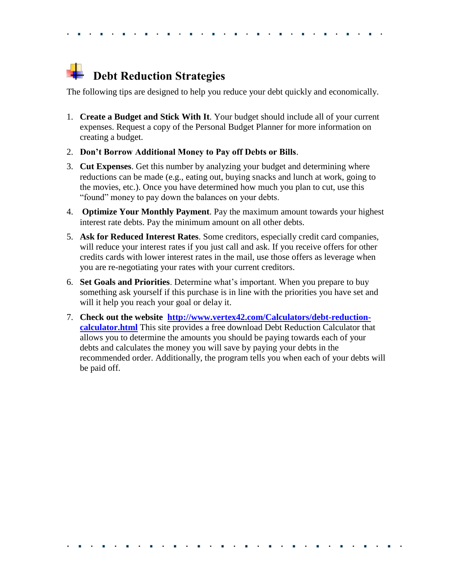## **Debt Reduction Strategies**

The following tips are designed to help you reduce your debt quickly and economically.

- 1. **Create a Budget and Stick With It**. Your budget should include all of your current expenses. Request a copy of the Personal Budget Planner for more information on creating a budget.
- 2. **Don't Borrow Additional Money to Pay off Debts or Bills**.
- 3. **Cut Expenses**. Get this number by analyzing your budget and determining where reductions can be made (e.g., eating out, buying snacks and lunch at work, going to the movies, etc.). Once you have determined how much you plan to cut, use this "found" money to pay down the balances on your debts.
- 4. **Optimize Your Monthly Payment**. Pay the maximum amount towards your highest interest rate debts. Pay the minimum amount on all other debts.
- 5. **Ask for Reduced Interest Rates**. Some creditors, especially credit card companies, will reduce your interest rates if you just call and ask. If you receive offers for other credits cards with lower interest rates in the mail, use those offers as leverage when you are re-negotiating your rates with your current creditors.
- 6. **Set Goals and Priorities**. Determine what's important. When you prepare to buy something ask yourself if this purchase is in line with the priorities you have set and will it help you reach your goal or delay it.
- 7. **Check out the website [http://www.vertex42.com/Calculators/debt-reduction](http://www.vertex42.com/Calculators/debt-reduction-calculator.html)[calculator.html](http://www.vertex42.com/Calculators/debt-reduction-calculator.html)** This site provides a free download Debt Reduction Calculator that allows you to determine the amounts you should be paying towards each of your debts and calculates the money you will save by paying your debts in the recommended order. Additionally, the program tells you when each of your debts will be paid off.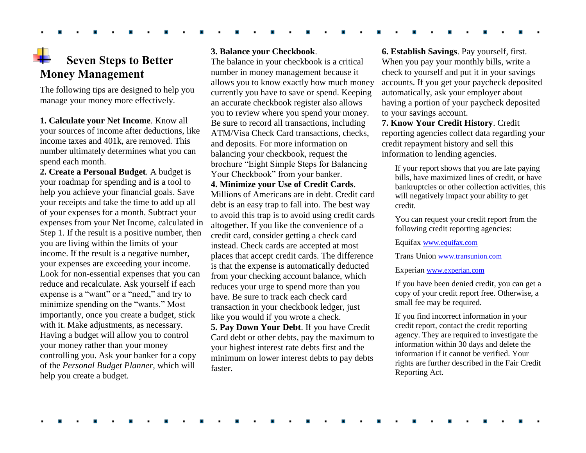**Seven Steps to Better Money Management**

The following tips are designed to help you manage your money more effectively.

**1. Calculate your Net Income**. Know all your sources of income after deductions, like income taxes and 401k, are removed. This number ultimately determines what you can spend each month.

**2. Create a Personal Budget**. A budget is your roadmap for spending and is a tool to help you achieve your financial goals. Save your receipts and take the time to add up all of your expenses for a month. Subtract your expenses from your Net Income, calculated in Step 1. If the result is a positive number, then you are living within the limits of your income. If the result is a negative number, your expenses are exceeding your income. Look for non-essential expenses that you can reduce and recalculate. Ask yourself if each expense is a "want" or a "need," and try to minimize spending on the "wants." Most importantly, once you create a budget, stick with it. Make adjustments, as necessary. Having a budget will allow you to control your money rather than your money controlling you. Ask your banker for a copy of the *Personal Budget Planner*, which will help you create a budget.

#### **3. Balance your Checkbook**.

The balance in your checkbook is a critical number in money management because it allows you to know exactly how much money currently you have to save or spend. Keeping an accurate checkbook register also allows you to review where you spend your money. Be sure to record all transactions, including ATM/Visa Check Card transactions, checks, and deposits. For more information on balancing your checkbook, request the brochure "Eight Simple Steps for Balancing Your Checkbook" from your banker.

**4. Minimize your Use of Credit Cards**. Millions of Americans are in debt. Credit card debt is an easy trap to fall into. The best way to avoid this trap is to avoid using credit cards altogether. If you like the convenience of a credit card, consider getting a check card instead. Check cards are accepted at most places that accept credit cards. The difference is that the expense is automatically deducted from your checking account balance, which reduces your urge to spend more than you have. Be sure to track each check card transaction in your checkbook ledger, just like you would if you wrote a check.

**5. Pay Down Your Debt**. If you have Credit Card debt or other debts, pay the maximum to your highest interest rate debts first and the minimum on lower interest debts to pay debts faster.

**6. Establish Savings**. Pay yourself, first. When you pay your monthly bills, write a check to yourself and put it in your savings accounts. If you get your paycheck deposited automatically, ask your employer about having a portion of your paycheck deposited to your savings account.

**7. Know Your Credit History**. Credit reporting agencies collect data regarding your credit repayment history and sell this information to lending agencies.

If your report shows that you are late paying bills, have maximized lines of credit, or have bankruptcies or other collection activities, this will negatively impact your ability to get credit.

You can request your credit report from the following credit reporting agencies:

Equifax [www.equifax.com](http://www.equifax.com/)

Trans Union [www.transunion.com](http://www.transunion.com/)

Experian [www.experian.com](http://www.experian.com/)

If you have been denied credit, you can get a copy of your credit report free. Otherwise, a small fee may be required.

If you find incorrect information in your credit report, contact the credit reporting agency. They are required to investigate the information within 30 days and delete the information if it cannot be verified. Your rights are further described in the Fair Credit Reporting Act.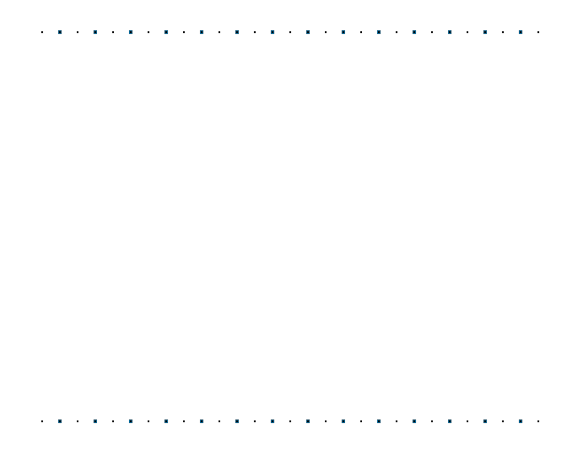| . |  |  |
|---|--|--|
|---|--|--|

 $\mathbf{u}$  .

 $\blacksquare$ 

 $\blacksquare$ 

 $\blacksquare$ 

 $\overline{\phantom{a}}$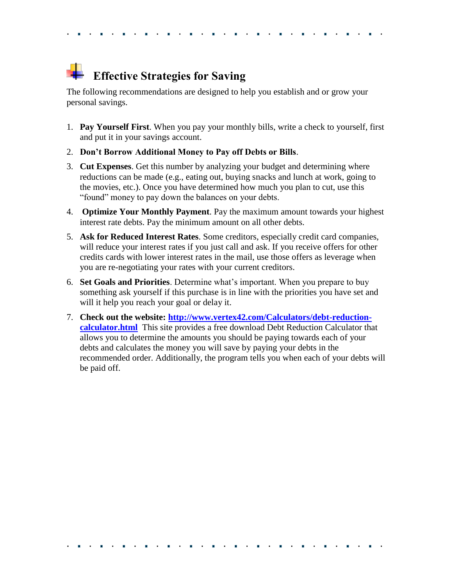## **Effective Strategies for Saving**

The following recommendations are designed to help you establish and or grow your personal savings.

- 1. **Pay Yourself First**. When you pay your monthly bills, write a check to yourself, first and put it in your savings account.
- 2. **Don't Borrow Additional Money to Pay off Debts or Bills**.
- 3. **Cut Expenses**. Get this number by analyzing your budget and determining where reductions can be made (e.g., eating out, buying snacks and lunch at work, going to the movies, etc.). Once you have determined how much you plan to cut, use this "found" money to pay down the balances on your debts.
- 4. **Optimize Your Monthly Payment**. Pay the maximum amount towards your highest interest rate debts. Pay the minimum amount on all other debts.
- 5. **Ask for Reduced Interest Rates**. Some creditors, especially credit card companies, will reduce your interest rates if you just call and ask. If you receive offers for other credits cards with lower interest rates in the mail, use those offers as leverage when you are re-negotiating your rates with your current creditors.
- 6. **Set Goals and Priorities**. Determine what's important. When you prepare to buy something ask yourself if this purchase is in line with the priorities you have set and will it help you reach your goal or delay it.
- 7. **Check out the website: [http://www.vertex42.com/Calculators/debt-reduction](http://www.vertex42.com/Calculators/debt-reduction-calculator.html)[calculator.html](http://www.vertex42.com/Calculators/debt-reduction-calculator.html)** This site provides a free download Debt Reduction Calculator that allows you to determine the amounts you should be paying towards each of your debts and calculates the money you will save by paying your debts in the recommended order. Additionally, the program tells you when each of your debts will be paid off.